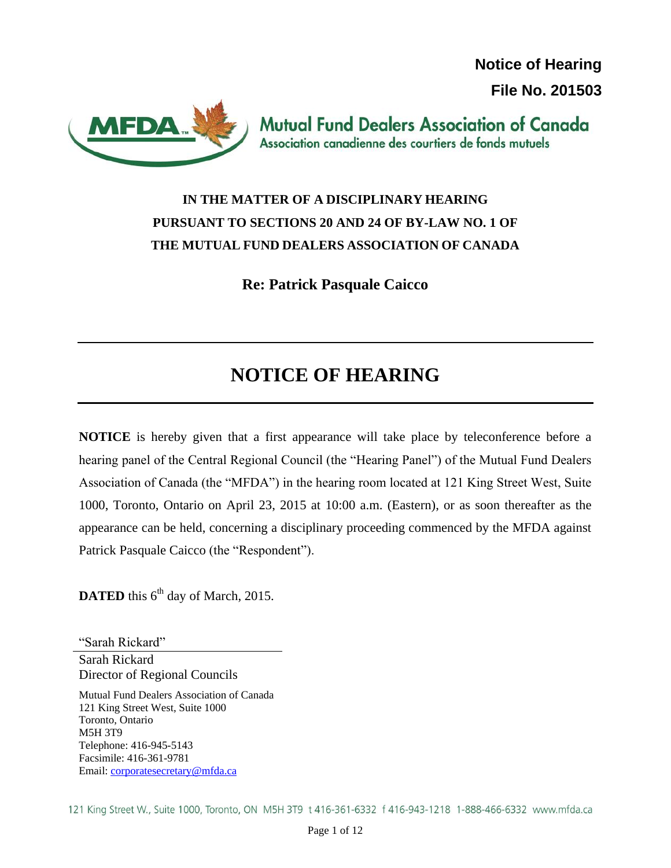**Notice of Hearing File No. 201503**



**Mutual Fund Dealers Association of Canada** Association canadienne des courtiers de fonds mutuels

# **IN THE MATTER OF A DISCIPLINARY HEARING PURSUANT TO SECTIONS 20 AND 24 OF BY-LAW NO. 1 OF THE MUTUAL FUND DEALERS ASSOCIATION OF CANADA**

**Re: Patrick Pasquale Caicco**

# **NOTICE OF HEARING**

**NOTICE** is hereby given that a first appearance will take place by teleconference before a hearing panel of the Central Regional Council (the "Hearing Panel") of the Mutual Fund Dealers Association of Canada (the "MFDA") in the hearing room located at 121 King Street West, Suite 1000, Toronto, Ontario on April 23, 2015 at 10:00 a.m. (Eastern), or as soon thereafter as the appearance can be held, concerning a disciplinary proceeding commenced by the MFDA against Patrick Pasquale Caicco (the "Respondent").

DATED this 6<sup>th</sup> day of March, 2015.

"Sarah Rickard" Sarah Rickard Director of Regional Councils

Mutual Fund Dealers Association of Canada 121 King Street West, Suite 1000 Toronto, Ontario M5H 3T9 Telephone: 416-945-5143 Facsimile: 416-361-9781 Email: [corporatesecretary@mfda.ca](mailto:corporatesecretary@mfda.ca)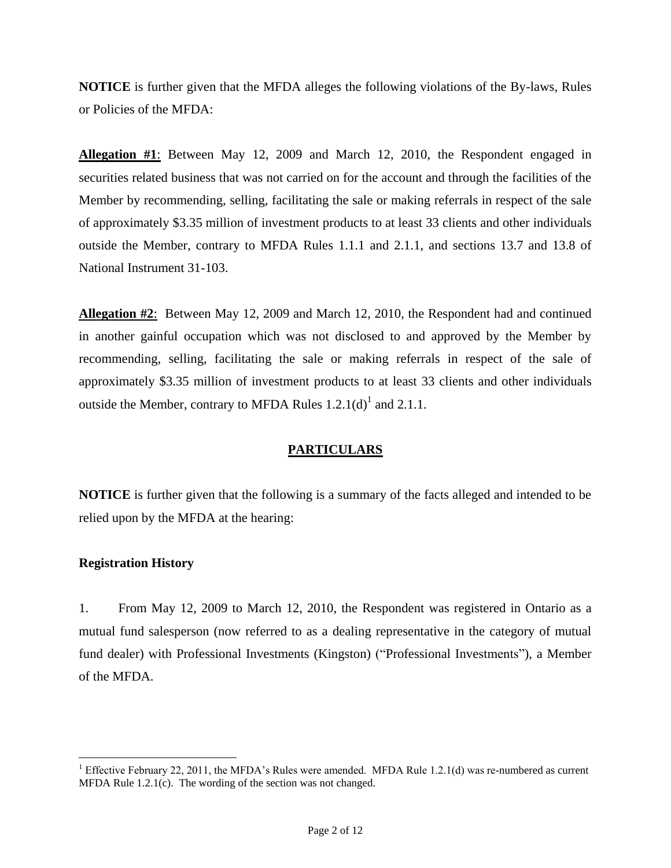**NOTICE** is further given that the MFDA alleges the following violations of the By-laws, Rules or Policies of the MFDA:

**Allegation #1**: Between May 12, 2009 and March 12, 2010, the Respondent engaged in securities related business that was not carried on for the account and through the facilities of the Member by recommending, selling, facilitating the sale or making referrals in respect of the sale of approximately \$3.35 million of investment products to at least 33 clients and other individuals outside the Member, contrary to MFDA Rules 1.1.1 and 2.1.1, and sections 13.7 and 13.8 of National Instrument 31-103.

**Allegation #2**: Between May 12, 2009 and March 12, 2010, the Respondent had and continued in another gainful occupation which was not disclosed to and approved by the Member by recommending, selling, facilitating the sale or making referrals in respect of the sale of approximately \$3.35 million of investment products to at least 33 clients and other individuals outside the Member, contrary to MFDA Rules  $1.2.1(d)^{1}$  and  $2.1.1$ .

#### **PARTICULARS**

**NOTICE** is further given that the following is a summary of the facts alleged and intended to be relied upon by the MFDA at the hearing:

#### **Registration History**

 $\overline{a}$ 

1. From May 12, 2009 to March 12, 2010, the Respondent was registered in Ontario as a mutual fund salesperson (now referred to as a dealing representative in the category of mutual fund dealer) with Professional Investments (Kingston) ("Professional Investments"), a Member of the MFDA.

<sup>&</sup>lt;sup>1</sup> Effective February 22, 2011, the MFDA's Rules were amended. MFDA Rule 1.2.1(d) was re-numbered as current MFDA Rule 1.2.1(c). The wording of the section was not changed.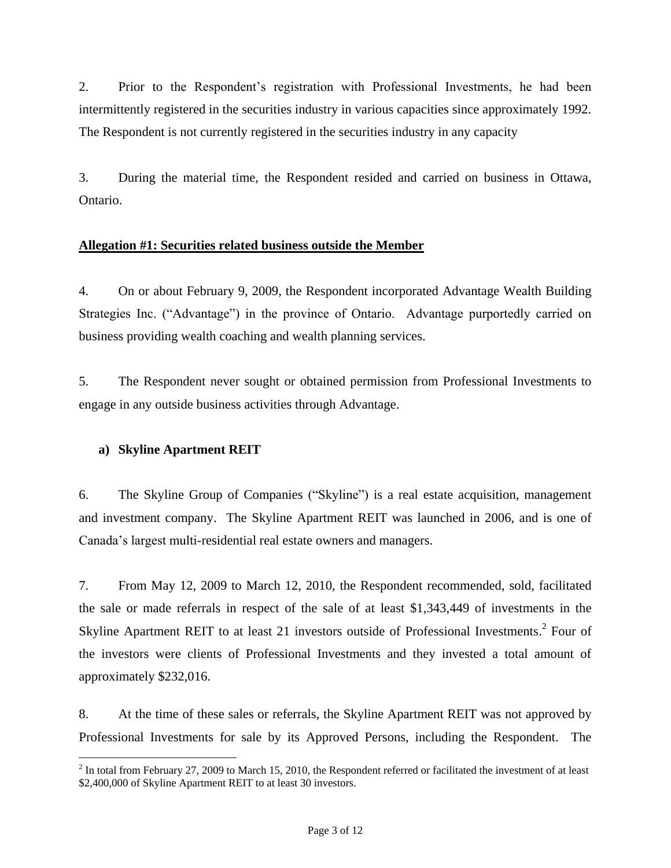2. Prior to the Respondent's registration with Professional Investments, he had been intermittently registered in the securities industry in various capacities since approximately 1992. The Respondent is not currently registered in the securities industry in any capacity

3. During the material time, the Respondent resided and carried on business in Ottawa, Ontario.

# **Allegation #1: Securities related business outside the Member**

4. On or about February 9, 2009, the Respondent incorporated Advantage Wealth Building Strategies Inc. ("Advantage") in the province of Ontario. Advantage purportedly carried on business providing wealth coaching and wealth planning services.

5. The Respondent never sought or obtained permission from Professional Investments to engage in any outside business activities through Advantage.

# **a) Skyline Apartment REIT**

 $\overline{a}$ 

6. The Skyline Group of Companies ("Skyline") is a real estate acquisition, management and investment company. The Skyline Apartment REIT was launched in 2006, and is one of Canada's largest multi-residential real estate owners and managers.

7. From May 12, 2009 to March 12, 2010, the Respondent recommended, sold, facilitated the sale or made referrals in respect of the sale of at least \$1,343,449 of investments in the Skyline Apartment REIT to at least 21 investors outside of Professional Investments.<sup>2</sup> Four of the investors were clients of Professional Investments and they invested a total amount of approximately \$232,016.

8. At the time of these sales or referrals, the Skyline Apartment REIT was not approved by Professional Investments for sale by its Approved Persons, including the Respondent. The

 $2^2$  In total from February 27, 2009 to March 15, 2010, the Respondent referred or facilitated the investment of at least \$2,400,000 of Skyline Apartment REIT to at least 30 investors.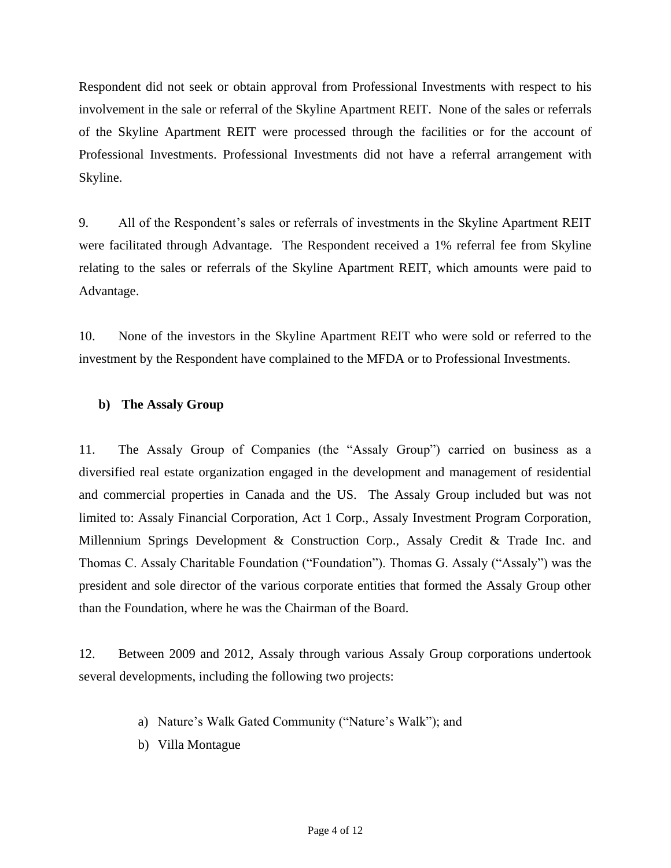Respondent did not seek or obtain approval from Professional Investments with respect to his involvement in the sale or referral of the Skyline Apartment REIT. None of the sales or referrals of the Skyline Apartment REIT were processed through the facilities or for the account of Professional Investments. Professional Investments did not have a referral arrangement with Skyline.

9. All of the Respondent's sales or referrals of investments in the Skyline Apartment REIT were facilitated through Advantage. The Respondent received a 1% referral fee from Skyline relating to the sales or referrals of the Skyline Apartment REIT, which amounts were paid to Advantage.

10. None of the investors in the Skyline Apartment REIT who were sold or referred to the investment by the Respondent have complained to the MFDA or to Professional Investments.

# **b) The Assaly Group**

11. The Assaly Group of Companies (the "Assaly Group") carried on business as a diversified real estate organization engaged in the development and management of residential and commercial properties in Canada and the US. The Assaly Group included but was not limited to: Assaly Financial Corporation, Act 1 Corp., Assaly Investment Program Corporation, Millennium Springs Development & Construction Corp., Assaly Credit & Trade Inc. and Thomas C. Assaly Charitable Foundation ("Foundation"). Thomas G. Assaly ("Assaly") was the president and sole director of the various corporate entities that formed the Assaly Group other than the Foundation, where he was the Chairman of the Board.

12. Between 2009 and 2012, Assaly through various Assaly Group corporations undertook several developments, including the following two projects:

- a) Nature's Walk Gated Community ("Nature's Walk"); and
- b) Villa Montague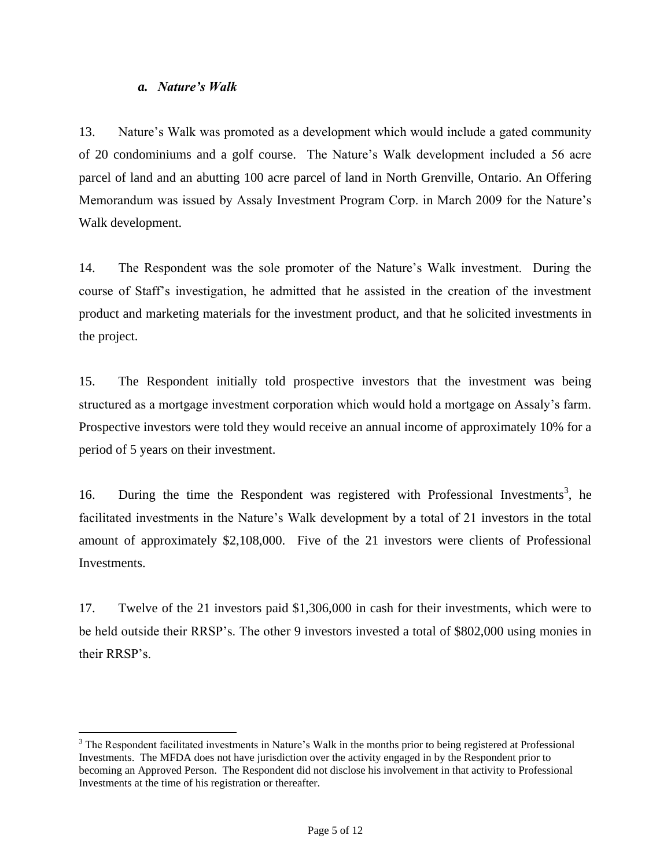#### *a. Nature's Walk*

 $\overline{a}$ 

13. Nature's Walk was promoted as a development which would include a gated community of 20 condominiums and a golf course. The Nature's Walk development included a 56 acre parcel of land and an abutting 100 acre parcel of land in North Grenville, Ontario. An Offering Memorandum was issued by Assaly Investment Program Corp. in March 2009 for the Nature's Walk development.

14. The Respondent was the sole promoter of the Nature's Walk investment. During the course of Staff's investigation, he admitted that he assisted in the creation of the investment product and marketing materials for the investment product, and that he solicited investments in the project.

15. The Respondent initially told prospective investors that the investment was being structured as a mortgage investment corporation which would hold a mortgage on Assaly's farm. Prospective investors were told they would receive an annual income of approximately 10% for a period of 5 years on their investment.

16. During the time the Respondent was registered with Professional Investments<sup>3</sup>, he facilitated investments in the Nature's Walk development by a total of 21 investors in the total amount of approximately \$2,108,000. Five of the 21 investors were clients of Professional Investments.

17. Twelve of the 21 investors paid \$1,306,000 in cash for their investments, which were to be held outside their RRSP's. The other 9 investors invested a total of \$802,000 using monies in their RRSP's.

<sup>&</sup>lt;sup>3</sup> The Respondent facilitated investments in Nature's Walk in the months prior to being registered at Professional Investments. The MFDA does not have jurisdiction over the activity engaged in by the Respondent prior to becoming an Approved Person. The Respondent did not disclose his involvement in that activity to Professional Investments at the time of his registration or thereafter.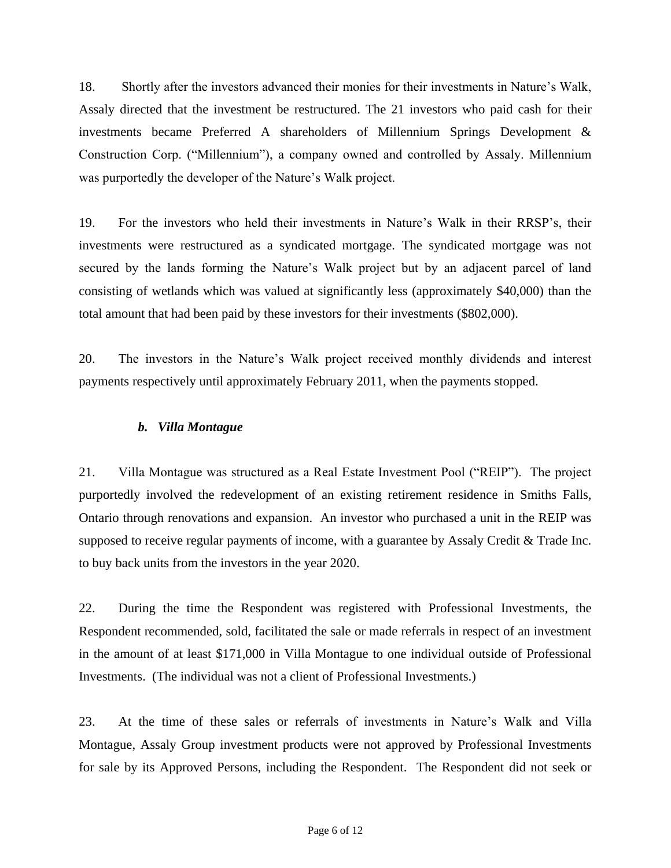18. Shortly after the investors advanced their monies for their investments in Nature's Walk, Assaly directed that the investment be restructured. The 21 investors who paid cash for their investments became Preferred A shareholders of Millennium Springs Development & Construction Corp. ("Millennium"), a company owned and controlled by Assaly. Millennium was purportedly the developer of the Nature's Walk project.

19. For the investors who held their investments in Nature's Walk in their RRSP's, their investments were restructured as a syndicated mortgage. The syndicated mortgage was not secured by the lands forming the Nature's Walk project but by an adjacent parcel of land consisting of wetlands which was valued at significantly less (approximately \$40,000) than the total amount that had been paid by these investors for their investments (\$802,000).

20. The investors in the Nature's Walk project received monthly dividends and interest payments respectively until approximately February 2011, when the payments stopped.

#### *b. Villa Montague*

21. Villa Montague was structured as a Real Estate Investment Pool ("REIP"). The project purportedly involved the redevelopment of an existing retirement residence in Smiths Falls, Ontario through renovations and expansion. An investor who purchased a unit in the REIP was supposed to receive regular payments of income, with a guarantee by Assaly Credit & Trade Inc. to buy back units from the investors in the year 2020.

22. During the time the Respondent was registered with Professional Investments, the Respondent recommended, sold, facilitated the sale or made referrals in respect of an investment in the amount of at least \$171,000 in Villa Montague to one individual outside of Professional Investments. (The individual was not a client of Professional Investments.)

23. At the time of these sales or referrals of investments in Nature's Walk and Villa Montague, Assaly Group investment products were not approved by Professional Investments for sale by its Approved Persons, including the Respondent. The Respondent did not seek or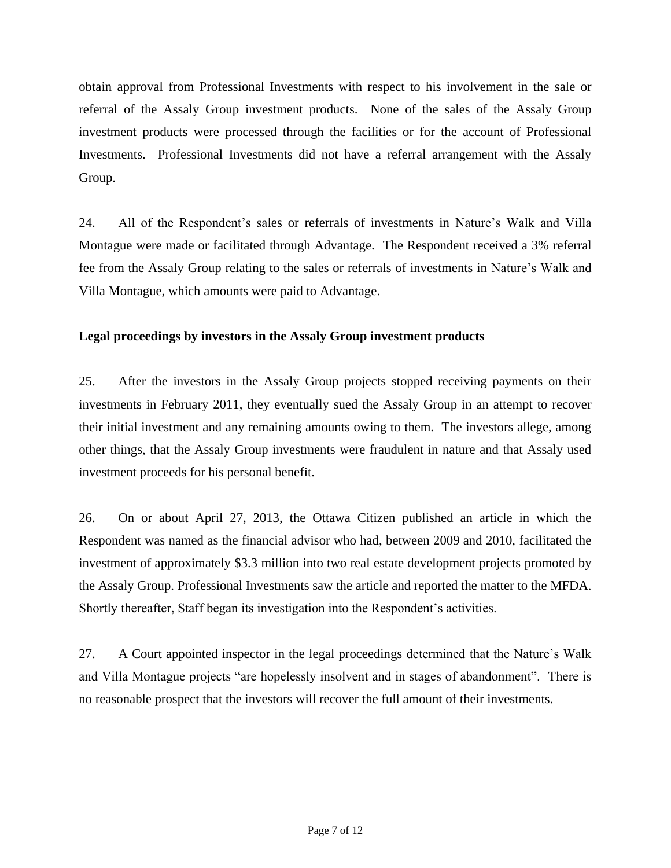obtain approval from Professional Investments with respect to his involvement in the sale or referral of the Assaly Group investment products. None of the sales of the Assaly Group investment products were processed through the facilities or for the account of Professional Investments. Professional Investments did not have a referral arrangement with the Assaly Group.

24. All of the Respondent's sales or referrals of investments in Nature's Walk and Villa Montague were made or facilitated through Advantage. The Respondent received a 3% referral fee from the Assaly Group relating to the sales or referrals of investments in Nature's Walk and Villa Montague, which amounts were paid to Advantage.

# **Legal proceedings by investors in the Assaly Group investment products**

25. After the investors in the Assaly Group projects stopped receiving payments on their investments in February 2011, they eventually sued the Assaly Group in an attempt to recover their initial investment and any remaining amounts owing to them. The investors allege, among other things, that the Assaly Group investments were fraudulent in nature and that Assaly used investment proceeds for his personal benefit.

26. On or about April 27, 2013, the Ottawa Citizen published an article in which the Respondent was named as the financial advisor who had, between 2009 and 2010, facilitated the investment of approximately \$3.3 million into two real estate development projects promoted by the Assaly Group. Professional Investments saw the article and reported the matter to the MFDA. Shortly thereafter, Staff began its investigation into the Respondent's activities.

27. A Court appointed inspector in the legal proceedings determined that the Nature's Walk and Villa Montague projects "are hopelessly insolvent and in stages of abandonment". There is no reasonable prospect that the investors will recover the full amount of their investments.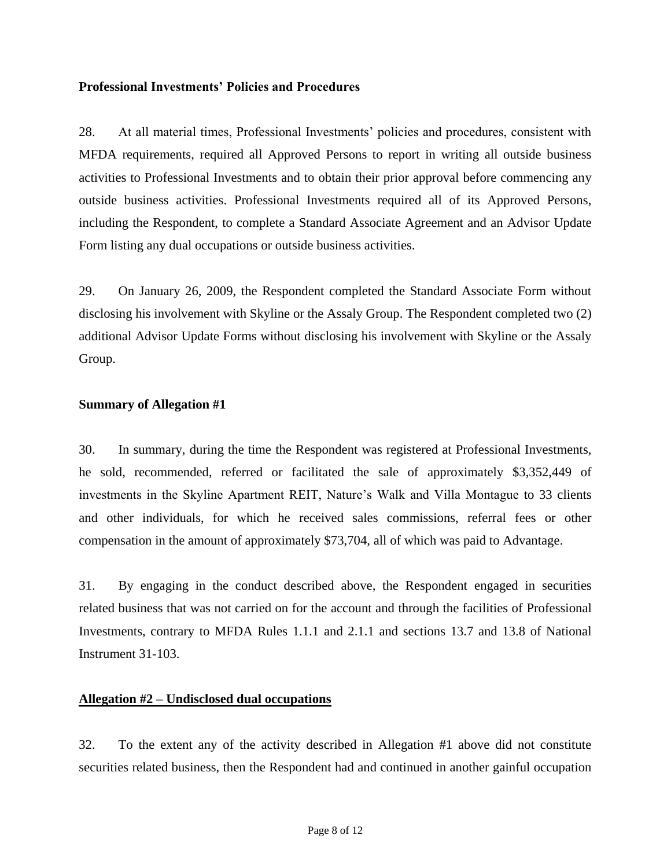#### **Professional Investments' Policies and Procedures**

28. At all material times, Professional Investments' policies and procedures, consistent with MFDA requirements, required all Approved Persons to report in writing all outside business activities to Professional Investments and to obtain their prior approval before commencing any outside business activities. Professional Investments required all of its Approved Persons, including the Respondent, to complete a Standard Associate Agreement and an Advisor Update Form listing any dual occupations or outside business activities.

29. On January 26, 2009, the Respondent completed the Standard Associate Form without disclosing his involvement with Skyline or the Assaly Group. The Respondent completed two (2) additional Advisor Update Forms without disclosing his involvement with Skyline or the Assaly Group.

#### **Summary of Allegation #1**

30. In summary, during the time the Respondent was registered at Professional Investments, he sold, recommended, referred or facilitated the sale of approximately \$3,352,449 of investments in the Skyline Apartment REIT, Nature's Walk and Villa Montague to 33 clients and other individuals, for which he received sales commissions, referral fees or other compensation in the amount of approximately \$73,704, all of which was paid to Advantage.

31. By engaging in the conduct described above, the Respondent engaged in securities related business that was not carried on for the account and through the facilities of Professional Investments, contrary to MFDA Rules 1.1.1 and 2.1.1 and sections 13.7 and 13.8 of National Instrument 31-103.

# **Allegation #2 – Undisclosed dual occupations**

32. To the extent any of the activity described in Allegation #1 above did not constitute securities related business, then the Respondent had and continued in another gainful occupation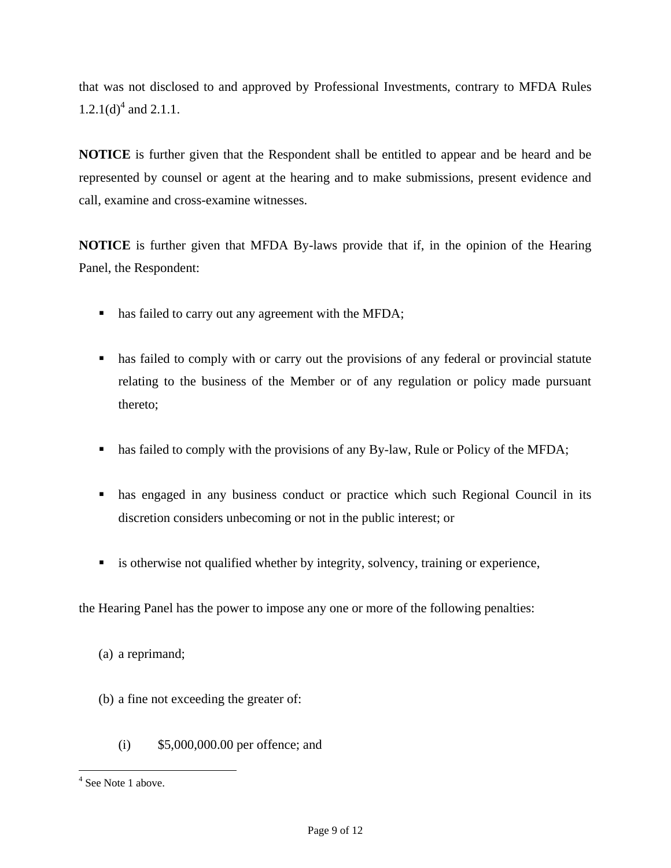that was not disclosed to and approved by Professional Investments, contrary to MFDA Rules 1.2.1(d)<sup>4</sup> and 2.1.1.

**NOTICE** is further given that the Respondent shall be entitled to appear and be heard and be represented by counsel or agent at the hearing and to make submissions, present evidence and call, examine and cross-examine witnesses.

**NOTICE** is further given that MFDA By-laws provide that if, in the opinion of the Hearing Panel, the Respondent:

- has failed to carry out any agreement with the MFDA;
- has failed to comply with or carry out the provisions of any federal or provincial statute relating to the business of the Member or of any regulation or policy made pursuant thereto;
- has failed to comply with the provisions of any By-law, Rule or Policy of the MFDA;
- has engaged in any business conduct or practice which such Regional Council in its discretion considers unbecoming or not in the public interest; or
- is otherwise not qualified whether by integrity, solvency, training or experience,

the Hearing Panel has the power to impose any one or more of the following penalties:

- (b) a fine not exceeding the greater of:
	- (i) \$5,000,000.00 per offence; and

<sup>(</sup>a) a reprimand;

<sup>&</sup>lt;sup>4</sup> See Note 1 above.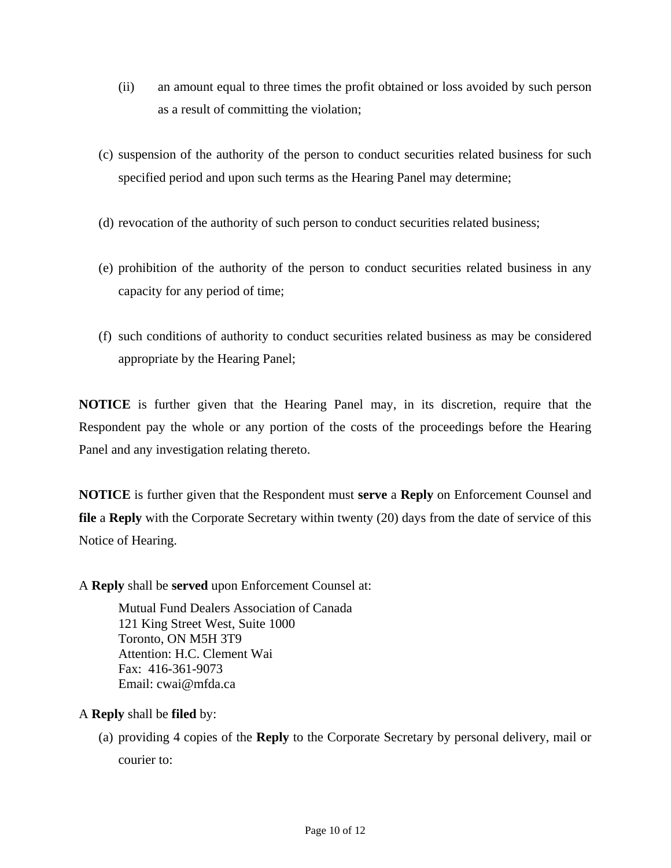- (ii) an amount equal to three times the profit obtained or loss avoided by such person as a result of committing the violation;
- (c) suspension of the authority of the person to conduct securities related business for such specified period and upon such terms as the Hearing Panel may determine;
- (d) revocation of the authority of such person to conduct securities related business;
- (e) prohibition of the authority of the person to conduct securities related business in any capacity for any period of time;
- (f) such conditions of authority to conduct securities related business as may be considered appropriate by the Hearing Panel;

**NOTICE** is further given that the Hearing Panel may, in its discretion, require that the Respondent pay the whole or any portion of the costs of the proceedings before the Hearing Panel and any investigation relating thereto.

**NOTICE** is further given that the Respondent must **serve** a **Reply** on Enforcement Counsel and **file** a **Reply** with the Corporate Secretary within twenty (20) days from the date of service of this Notice of Hearing.

A **Reply** shall be **served** upon Enforcement Counsel at:

Mutual Fund Dealers Association of Canada 121 King Street West, Suite 1000 Toronto, ON M5H 3T9 Attention: H.C. Clement Wai Fax: 416-361-9073 Email: cwai@mfda.ca

- A **Reply** shall be **filed** by:
	- (a) providing 4 copies of the **Reply** to the Corporate Secretary by personal delivery, mail or courier to: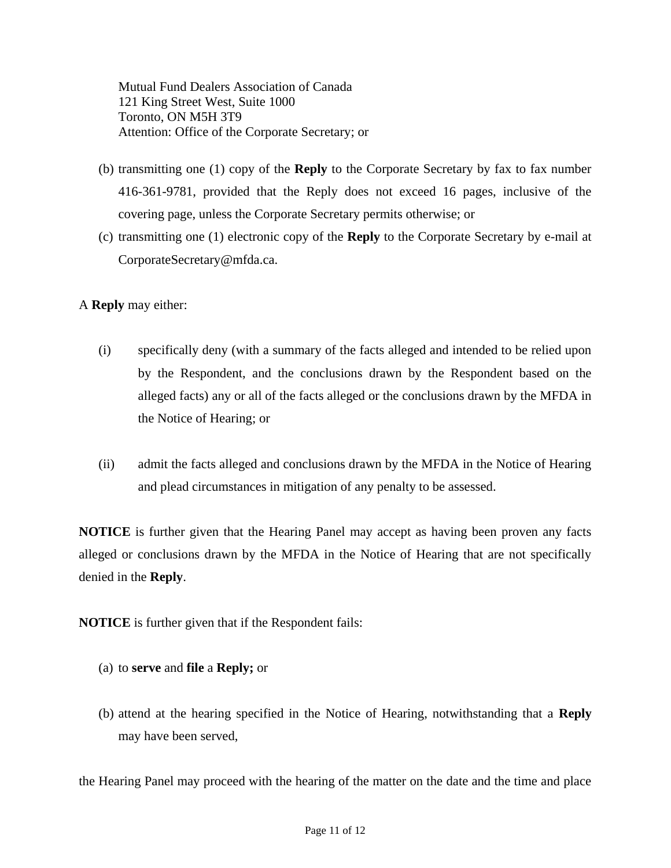Mutual Fund Dealers Association of Canada 121 King Street West, Suite 1000 Toronto, ON M5H 3T9 Attention: Office of the Corporate Secretary; or

- (b) transmitting one (1) copy of the **Reply** to the Corporate Secretary by fax to fax number 416-361-9781, provided that the Reply does not exceed 16 pages, inclusive of the covering page, unless the Corporate Secretary permits otherwise; or
- (c) transmitting one (1) electronic copy of the **Reply** to the Corporate Secretary by e-mail at CorporateSecretary@mfda.ca.
- A **Reply** may either:
	- (i) specifically deny (with a summary of the facts alleged and intended to be relied upon by the Respondent, and the conclusions drawn by the Respondent based on the alleged facts) any or all of the facts alleged or the conclusions drawn by the MFDA in the Notice of Hearing; or
	- (ii) admit the facts alleged and conclusions drawn by the MFDA in the Notice of Hearing and plead circumstances in mitigation of any penalty to be assessed.

**NOTICE** is further given that the Hearing Panel may accept as having been proven any facts alleged or conclusions drawn by the MFDA in the Notice of Hearing that are not specifically denied in the **Reply**.

**NOTICE** is further given that if the Respondent fails:

- (a) to **serve** and **file** a **Reply;** or
- (b) attend at the hearing specified in the Notice of Hearing, notwithstanding that a **Reply**  may have been served,

the Hearing Panel may proceed with the hearing of the matter on the date and the time and place